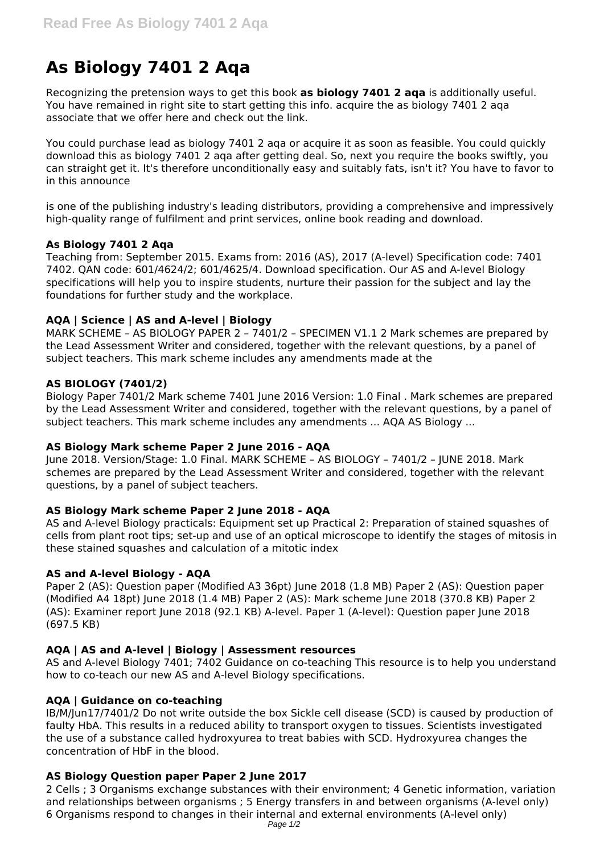# **As Biology 7401 2 Aqa**

Recognizing the pretension ways to get this book **as biology 7401 2 aqa** is additionally useful. You have remained in right site to start getting this info. acquire the as biology 7401 2 aqa associate that we offer here and check out the link.

You could purchase lead as biology 7401 2 aqa or acquire it as soon as feasible. You could quickly download this as biology 7401 2 aqa after getting deal. So, next you require the books swiftly, you can straight get it. It's therefore unconditionally easy and suitably fats, isn't it? You have to favor to in this announce

is one of the publishing industry's leading distributors, providing a comprehensive and impressively high-quality range of fulfilment and print services, online book reading and download.

#### **As Biology 7401 2 Aqa**

Teaching from: September 2015. Exams from: 2016 (AS), 2017 (A-level) Specification code: 7401 7402. QAN code: 601/4624/2; 601/4625/4. Download specification. Our AS and A-level Biology specifications will help you to inspire students, nurture their passion for the subject and lay the foundations for further study and the workplace.

# **AQA | Science | AS and A-level | Biology**

MARK SCHEME – AS BIOLOGY PAPER 2 – 7401/2 – SPECIMEN V1.1 2 Mark schemes are prepared by the Lead Assessment Writer and considered, together with the relevant questions, by a panel of subject teachers. This mark scheme includes any amendments made at the

#### **AS BIOLOGY (7401/2)**

Biology Paper 7401/2 Mark scheme 7401 June 2016 Version: 1.0 Final . Mark schemes are prepared by the Lead Assessment Writer and considered, together with the relevant questions, by a panel of subject teachers. This mark scheme includes any amendments ... AQA AS Biology ...

# **AS Biology Mark scheme Paper 2 June 2016 - AQA**

June 2018. Version/Stage: 1.0 Final. MARK SCHEME – AS BIOLOGY – 7401/2 – JUNE 2018. Mark schemes are prepared by the Lead Assessment Writer and considered, together with the relevant questions, by a panel of subject teachers.

# **AS Biology Mark scheme Paper 2 June 2018 - AQA**

AS and A-level Biology practicals: Equipment set up Practical 2: Preparation of stained squashes of cells from plant root tips; set-up and use of an optical microscope to identify the stages of mitosis in these stained squashes and calculation of a mitotic index

#### **AS and A-level Biology - AQA**

Paper 2 (AS): Question paper (Modified A3 36pt) June 2018 (1.8 MB) Paper 2 (AS): Question paper (Modified A4 18pt) June 2018 (1.4 MB) Paper 2 (AS): Mark scheme June 2018 (370.8 KB) Paper 2 (AS): Examiner report June 2018 (92.1 KB) A-level. Paper 1 (A-level): Question paper June 2018 (697.5 KB)

# **AQA | AS and A-level | Biology | Assessment resources**

AS and A-level Biology 7401; 7402 Guidance on co-teaching This resource is to help you understand how to co-teach our new AS and A-level Biology specifications.

#### **AQA | Guidance on co-teaching**

IB/M/Jun17/7401/2 Do not write outside the box Sickle cell disease (SCD) is caused by production of faulty HbA. This results in a reduced ability to transport oxygen to tissues. Scientists investigated the use of a substance called hydroxyurea to treat babies with SCD. Hydroxyurea changes the concentration of HbF in the blood.

# **AS Biology Question paper Paper 2 June 2017**

2 Cells ; 3 Organisms exchange substances with their environment; 4 Genetic information, variation and relationships between organisms ; 5 Energy transfers in and between organisms (A-level only) 6 Organisms respond to changes in their internal and external environments (A-level only) Page 1/2